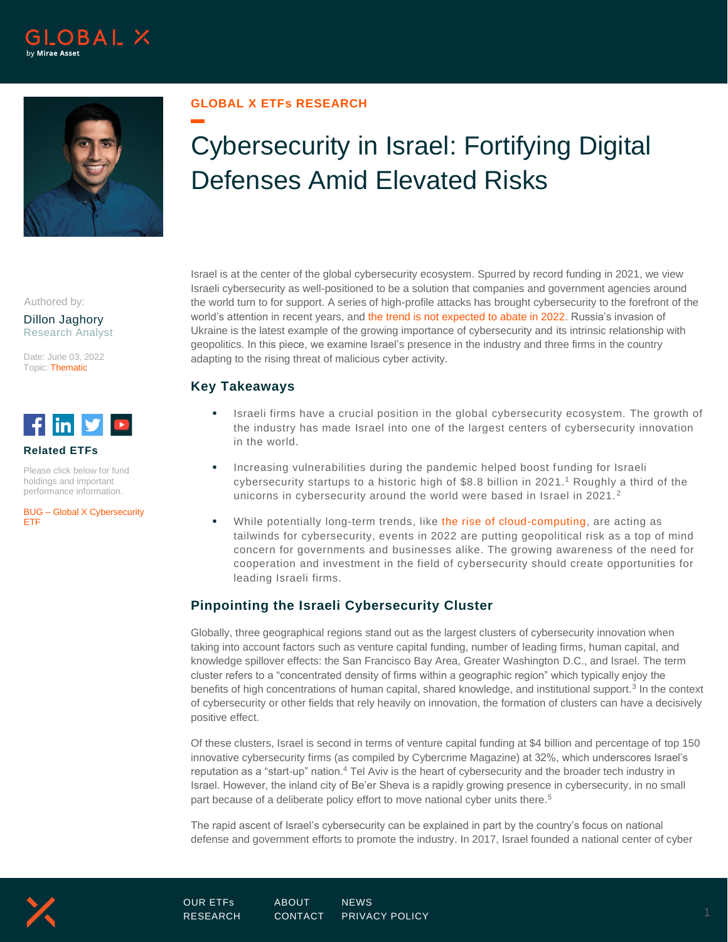



## **GLOBAL X ETFs RESEARCH**

# Cybersecurity in Israel: Fortifying Digital Defenses Amid Elevated Risks

Authored by:

Dillon Jaghory Research Analyst

Date: June 03, 2022 Topic: Thematic



## **Related ETFs**

Please click below for fund holdings and important performance information.

BUG – [Global X Cybersecurity](https://www.globalxetfs.com/funds/bug/)  [ETF](https://www.globalxetfs.com/funds/bug/)

Israel is at the center of the global cybersecurity ecosystem. Spurred by record funding in 2021, we view Israeli cybersecurity as well-positioned to be a solution that companies and government agencies around the world turn to for support. A series of high-profile attacks has brought cybersecurity to the forefront of the world's attention in recent years, an[d the trend is not expected to abate in 2022.](https://www.globalxetfs.com/rising-cybersecurity-threats-expected-to-continue-in-2022/) Russia's invasion of Ukraine is the latest example of the growing importance of cybersecurity and its intrinsic relationship with geopolitics. In this piece, we examine Israel's presence in the industry and three firms in the country adapting to the rising threat of malicious cyber activity.

# **Key Takeaways**

- Israeli firms have a crucial position in the global cybersecurity ecosystem. The growth of the industry has made Israel into one of the largest centers of cybersecurity innovation in the world.
- Increasing vulnerabilities during the pandemic helped boost funding for Israeli cybersecurity startups to a historic high of \$8.8 billion in 2021.<sup>1</sup> Roughly a third of the unicorns in cybersecurity around the world were based in Israel in 2021. <sup>2</sup>
- While potentially long-term trends, like [the rise of cloud-computing,](https://www.globalxetfs.com/big-data-cloud-computing-cybersecurity/) are acting as tailwinds for cybersecurity, events in 2022 are putting geopolitical risk as a top of mind concern for governments and businesses alike. The growing awareness of the need for cooperation and investment in the field of cybersecurity should create opportunities for leading Israeli firms.

# **Pinpointing the Israeli Cybersecurity Cluster**

Globally, three geographical regions stand out as the largest clusters of cybersecurity innovation when taking into account factors such as venture capital funding, number of leading firms, human capital, and knowledge spillover effects: the San Francisco Bay Area, Greater Washington D.C., and Israel. The term cluster refers to a "concentrated density of firms within a geographic region" which typically enjoy the benefits of high concentrations of human capital, shared knowledge, and institutional support.<sup>3</sup> In the context of cybersecurity or other fields that rely heavily on innovation, the formation of clusters can have a decisively positive effect.

Of these clusters, Israel is second in terms of venture capital funding at \$4 billion and percentage of top 150 innovative cybersecurity firms (as compiled by Cybercrime Magazine) at 32%, which underscores Israel's reputation as a "start-up" nation.<sup>4</sup> Tel Aviv is the heart of cybersecurity and the broader tech industry in Israel. However, the inland city of Be'er Sheva is a rapidly growing presence in cybersecurity, in no small part because of a deliberate policy effort to move national cyber units there.<sup>5</sup>

The rapid ascent of Israel's cybersecurity can be explained in part by the country's focus on national defense and government efforts to promote the industry. In 2017, Israel founded a national center of cyber



[OUR ETFs](https://www.globalxetfs.com/) [ABOUT](https://www.globalxetfs.com/about/) [NEWS](https://www.globalxetfs.com/news/)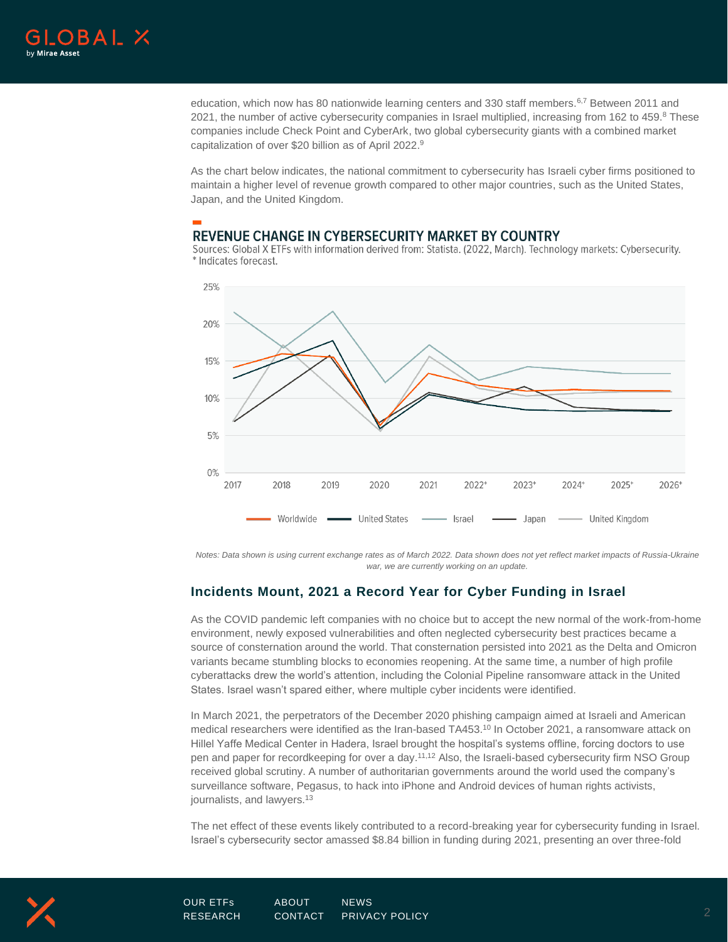

education, which now has 80 nationwide learning centers and 330 staff members.<sup>6,7</sup> Between 2011 and 2021, the number of active cybersecurity companies in Israel multiplied, increasing from 162 to 459.8 These companies include Check Point and CyberArk, two global cybersecurity giants with a combined market capitalization of over \$20 billion as of April 2022. 9

As the chart below indicates, the national commitment to cybersecurity has Israeli cyber firms positioned to maintain a higher level of revenue growth compared to other major countries, such as the United States, Japan, and the United Kingdom.

## REVENUE CHANGE IN CYBERSECURITY MARKET BY COUNTRY

Sources: Global X ETFs with information derived from: Statista. (2022, March). Technology markets: Cybersecurity. \* Indicates forecast.



*Notes: Data shown is using current exchange rates as of March 2022. Data shown does not yet reflect market impacts of Russia-Ukraine war, we are currently working on an update.*

# **Incidents Mount, 2021 a Record Year for Cyber Funding in Israel**

As the COVID pandemic left companies with no choice but to accept the new normal of the work-from-home environment, newly exposed vulnerabilities and often neglected cybersecurity best practices became a source of consternation around the world. That consternation persisted into 2021 as the Delta and Omicron variants became stumbling blocks to economies reopening. At the same time, a number of high profile cyberattacks drew the world's attention, including the Colonial Pipeline ransomware attack in the United States. Israel wasn't spared either, where multiple cyber incidents were identified.

In March 2021, the perpetrators of the December 2020 phishing campaign aimed at Israeli and American medical researchers were identified as the Iran-based TA453.<sup>10</sup> In October 2021, a ransomware attack on Hillel Yaffe Medical Center in Hadera, Israel brought the hospital's systems offline, forcing doctors to use pen and paper for recordkeeping for over a day.11,12 Also, the Israeli-based cybersecurity firm NSO Group received global scrutiny. A number of authoritarian governments around the world used the company's surveillance software, Pegasus, to hack into iPhone and Android devices of human rights activists, journalists, and lawyers.<sup>13</sup>

The net effect of these events likely contributed to a record-breaking year for cybersecurity funding in Israel. Israel's cybersecurity sector amassed \$8.84 billion in funding during 2021, presenting an over three-fold

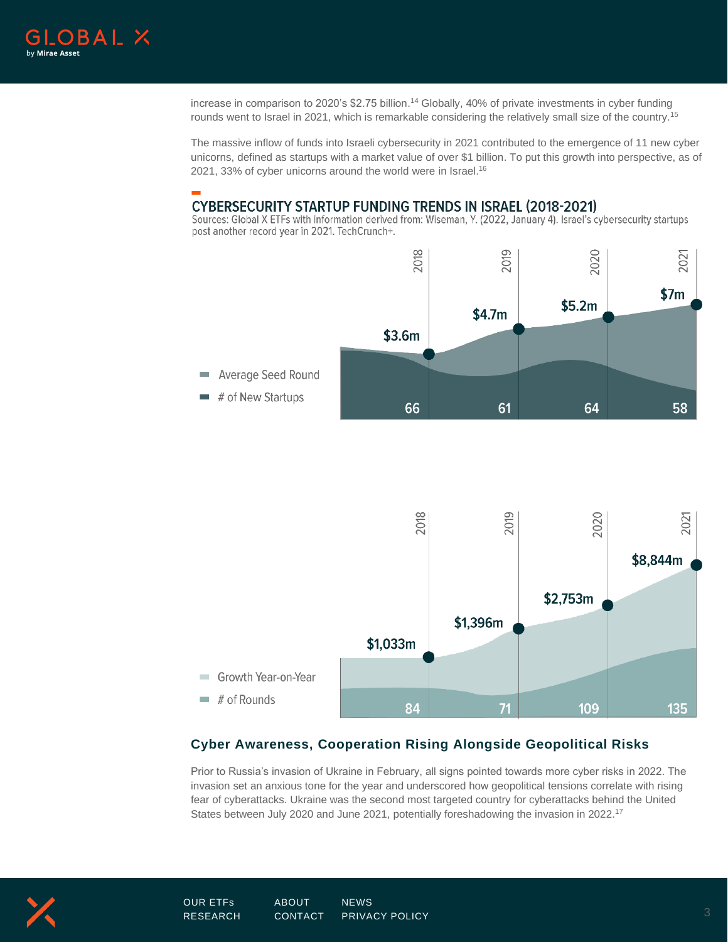

increase in comparison to 2020's \$2.75 billion. <sup>14</sup> Globally, 40% of private investments in cyber funding rounds went to Israel in 2021, which is remarkable considering the relatively small size of the country.<sup>15</sup>

The massive inflow of funds into Israeli cybersecurity in 2021 contributed to the emergence of 11 new cyber unicorns, defined as startups with a market value of over \$1 billion. To put this growth into perspective, as of 2021, 33% of cyber unicorns around the world were in Israel.<sup>16</sup>

## **CYBERSECURITY STARTUP FUNDING TRENDS IN ISRAEL (2018-2021)**

Sources: Global X ETFs with information derived from: Wiseman, Y. (2022, January 4). Israel's cybersecurity startups post another record year in 2021. TechCrunch+.





# **Cyber Awareness, Cooperation Rising Alongside Geopolitical Risks**

Prior to Russia's invasion of Ukraine in February, all signs pointed towards more cyber risks in 2022. The invasion set an anxious tone for the year and underscored how geopolitical tensions correlate with rising fear of cyberattacks. Ukraine was the second most targeted country for cyberattacks behind the United States between July 2020 and June 2021, potentially foreshadowing the invasion in 2022.17

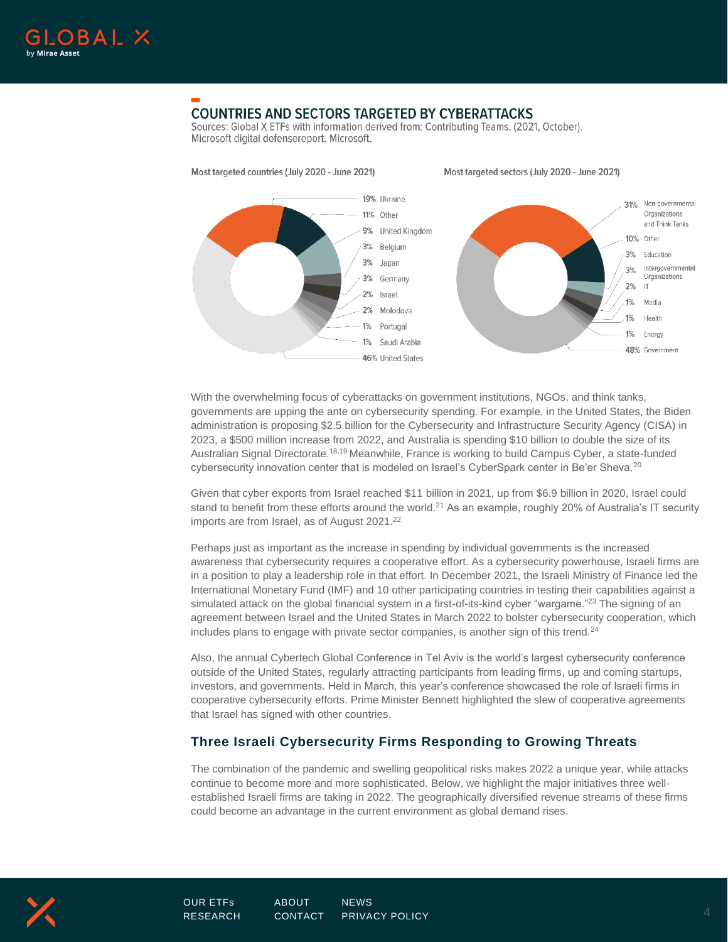

# **COUNTRIES AND SECTORS TARGETED BY CYBERATTACKS**

Sources: Global X ETFs with information derived from: Contributing Teams, (2021, October). Microsoft digital defensereport. Microsoft.



With the overwhelming focus of cyberattacks on government institutions, NGOs, and think tanks, governments are upping the ante on cybersecurity spending. For example, in the United States, the Biden administration is proposing \$2.5 billion for the Cybersecurity and Infrastructure Security Agency (CISA) in 2023, a \$500 million increase from 2022, and Australia is spending \$10 billion to double the size of its Australian Signal Directorate.18,19 Meanwhile, France is working to build Campus Cyber, a state-funded cybersecurity innovation center that is modeled on Israel's CyberSpark center in Be'er Sheva.<sup>20</sup>

Given that cyber exports from Israel reached \$11 billion in 2021, up from \$6.9 billion in 2020, Israel could stand to benefit from these efforts around the world.<sup>21</sup> As an example, roughly 20% of Australia's IT security imports are from Israel, as of August 2021.<sup>22</sup>

Perhaps just as important as the increase in spending by individual governments is the increased awareness that cybersecurity requires a cooperative effort. As a cybersecurity powerhouse, Israeli firms are in a position to play a leadership role in that effort. In December 2021, the Israeli Ministry of Finance led the International Monetary Fund (IMF) and 10 other participating countries in testing their capabilities against a simulated attack on the global financial system in a first-of-its-kind cyber "wargame."<sup>23</sup> The signing of an agreement between Israel and the United States in March 2022 to bolster cybersecurity cooperation, which includes plans to engage with private sector companies, is another sign of this trend. $24$ 

Also, the annual Cybertech Global Conference in Tel Aviv is the world's largest cybersecurity conference outside of the United States, regularly attracting participants from leading firms, up and coming startups, investors, and governments. Held in March, this year's conference showcased the role of Israeli firms in cooperative cybersecurity efforts. Prime Minister Bennett highlighted the slew of cooperative agreements that Israel has signed with other countries.

# **Three Israeli Cybersecurity Firms Responding to Growing Threats**

The combination of the pandemic and swelling geopolitical risks makes 2022 a unique year, while attacks continue to become more and more sophisticated. Below, we highlight the major initiatives three wellestablished Israeli firms are taking in 2022. The geographically diversified revenue streams of these firms could become an advantage in the current environment as global demand rises.

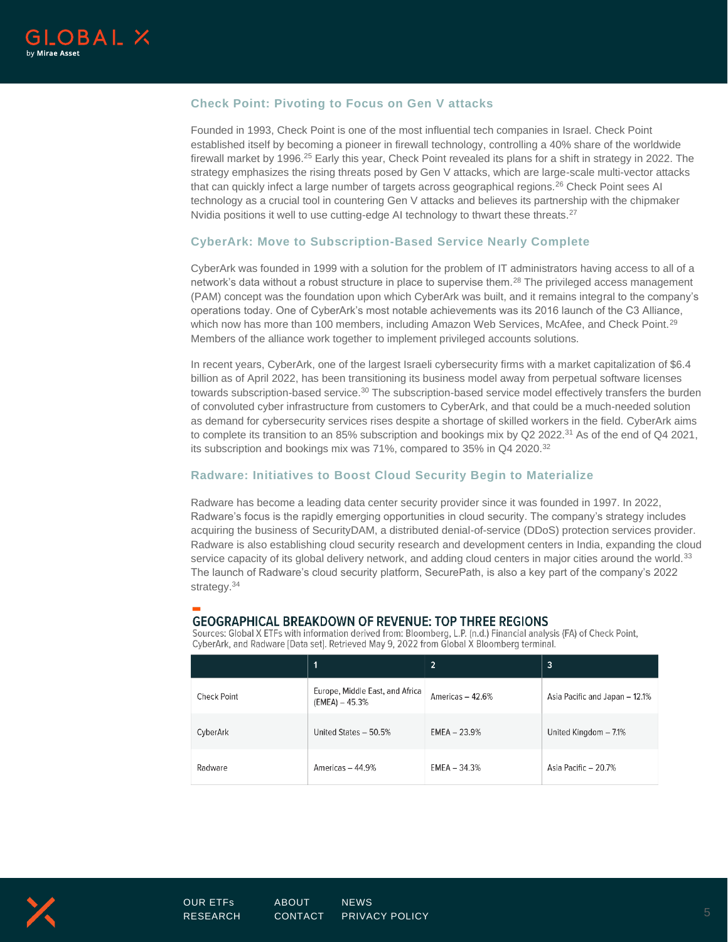

## **Check Point: Pivoting to Focus on Gen V attacks**

Founded in 1993, Check Point is one of the most influential tech companies in Israel. Check Point established itself by becoming a pioneer in firewall technology, controlling a 40% share of the worldwide firewall market by 1996.<sup>25</sup> Early this year, Check Point revealed its plans for a shift in strategy in 2022. The strategy emphasizes the rising threats posed by Gen V attacks, which are large-scale multi-vector attacks that can quickly infect a large number of targets across geographical regions.<sup>26</sup> Check Point sees Al technology as a crucial tool in countering Gen V attacks and believes its partnership with the chipmaker Nvidia positions it well to use cutting-edge AI technology to thwart these threats.<sup>27</sup>

## **CyberArk: Move to Subscription-Based Service Nearly Complete**

CyberArk was founded in 1999 with a solution for the problem of IT administrators having access to all of a network's data without a robust structure in place to supervise them.<sup>28</sup> The privileged access management (PAM) concept was the foundation upon which CyberArk was built, and it remains integral to the company's operations today. One of CyberArk's most notable achievements was its 2016 launch of the C3 Alliance, which now has more than 100 members, including Amazon Web Services, McAfee, and Check Point.<sup>29</sup> Members of the alliance work together to implement privileged accounts solutions.

In recent years, CyberArk, one of the largest Israeli cybersecurity firms with a market capitalization of \$6.4 billion as of April 2022, has been transitioning its business model away from perpetual software licenses towards subscription-based service.<sup>30</sup> The subscription-based service model effectively transfers the burden of convoluted cyber infrastructure from customers to CyberArk, and that could be a much-needed solution as demand for cybersecurity services rises despite a shortage of skilled workers in the field. CyberArk aims to complete its transition to an 85% subscription and bookings mix by Q2 2022.<sup>31</sup> As of the end of Q4 2021, its subscription and bookings mix was 71%, compared to 35% in Q4 2020.<sup>32</sup>

#### **Radware: Initiatives to Boost Cloud Security Begin to Materialize**

Radware has become a leading data center security provider since it was founded in 1997. In 2022, Radware's focus is the rapidly emerging opportunities in cloud security. The company's strategy includes acquiring the business of SecurityDAM, a distributed denial-of-service (DDoS) protection services provider. Radware is also establishing cloud security research and development centers in India, expanding the cloud service capacity of its global delivery network, and adding cloud centers in major cities around the world.<sup>33</sup> The launch of Radware's cloud security platform, SecurePath, is also a key part of the company's 2022 strategy.<sup>34</sup>

## **GEOGRAPHICAL BREAKDOWN OF REVENUE: TOP THREE REGIONS**

Sources: Global X ETFs with information derived from: Bloomberg, L.P. (n.d.) Financial analysis (FA) of Check Point, CyberArk, and Radware [Data set]. Retrieved May 9, 2022 from Global X Bloomberg terminal.

|             | 1                                                   | $\overline{2}$   | 3                              |
|-------------|-----------------------------------------------------|------------------|--------------------------------|
| Check Point | Europe, Middle East, and Africa<br>$(EMEA) - 45.3%$ | Americas - 42.6% | Asia Pacific and Japan - 12.1% |
| CyberArk    | United States - 50.5%                               | $EMEA - 23.9%$   | United Kingdom - 7.1%          |
| Radware     | Americas $-44.9%$                                   | $EMEA - 34.3%$   | Asia Pacific - 20.7%           |

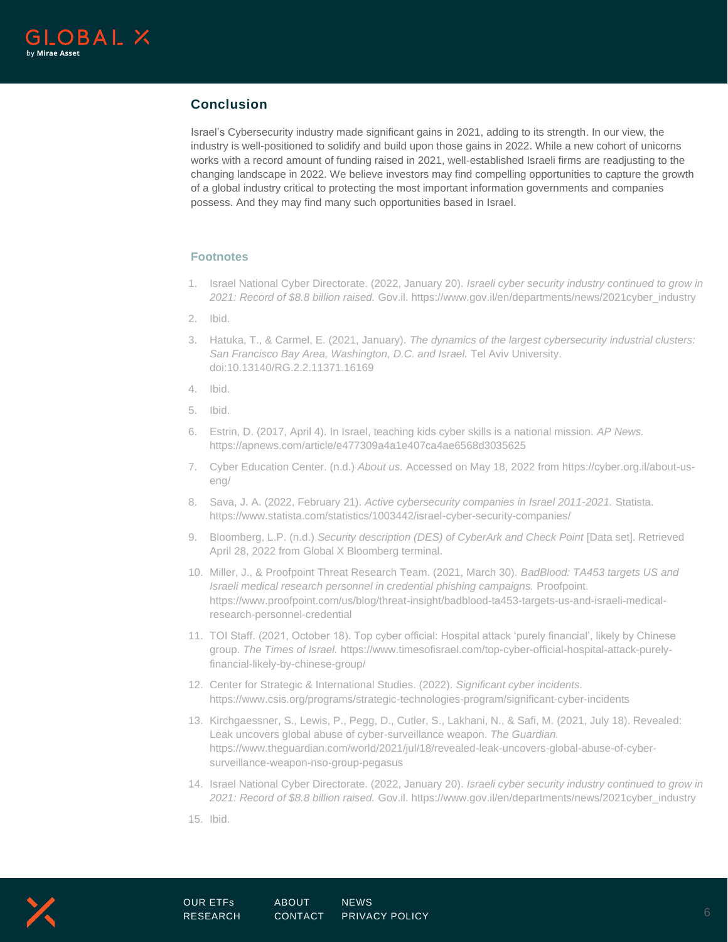

## **Conclusion**

Israel's Cybersecurity industry made significant gains in 2021, adding to its strength. In our view, the industry is well-positioned to solidify and build upon those gains in 2022. While a new cohort of unicorns works with a record amount of funding raised in 2021, well-established Israeli firms are readjusting to the changing landscape in 2022. We believe investors may find compelling opportunities to capture the growth of a global industry critical to protecting the most important information governments and companies possess. And they may find many such opportunities based in Israel.

## **Footnotes**

- 1. Israel National Cyber Directorate. (2022, January 20). *Israeli cyber security industry continued to grow in 2021: Record of \$8.8 billion raised.* Gov.il. https://www.gov.il/en/departments/news/2021cyber\_industry
- 2. Ibid.
- 3. Hatuka, T., & Carmel, E. (2021, January). *The dynamics of the largest cybersecurity industrial clusters: San Francisco Bay Area, Washington, D.C. and Israel.* Tel Aviv University. doi:10.13140/RG.2.2.11371.16169
- 4. Ibid.
- 5. Ibid.
- 6. Estrin, D. (2017, April 4). In Israel, teaching kids cyber skills is a national mission. *AP News.*  https://apnews.com/article/e477309a4a1e407ca4ae6568d3035625
- 7. Cyber Education Center. (n.d.) *About us.* Accessed on May 18, 2022 from https://cyber.org.il/about-useng/
- 8. Sava, J. A. (2022, February 21). *Active cybersecurity companies in Israel 2011-2021.* Statista. https://www.statista.com/statistics/1003442/israel-cyber-security-companies/
- 9. Bloomberg, L.P. (n.d.) *Security description (DES) of CyberArk and Check Point* [Data set]. Retrieved April 28, 2022 from Global X Bloomberg terminal.
- 10. Miller, J., & Proofpoint Threat Research Team. (2021, March 30). *BadBlood: TA453 targets US and Israeli medical research personnel in credential phishing campaigns.* Proofpoint. https://www.proofpoint.com/us/blog/threat-insight/badblood-ta453-targets-us-and-israeli-medicalresearch-personnel-credential
- 11. TOI Staff. (2021, October 18). Top cyber official: Hospital attack 'purely financial', likely by Chinese group. *The Times of Israel.* https://www.timesofisrael.com/top-cyber-official-hospital-attack-purelyfinancial-likely-by-chinese-group/
- 12. Center for Strategic & International Studies. (2022). *Significant cyber incidents.*  https://www.csis.org/programs/strategic-technologies-program/significant-cyber-incidents
- 13. Kirchgaessner, S., Lewis, P., Pegg, D., Cutler, S., Lakhani, N., & Safi, M. (2021, July 18). Revealed: Leak uncovers global abuse of cyber-surveillance weapon. *The Guardian.*  https://www.theguardian.com/world/2021/jul/18/revealed-leak-uncovers-global-abuse-of-cybersurveillance-weapon-nso-group-pegasus
- 14. Israel National Cyber Directorate. (2022, January 20). *Israeli cyber security industry continued to grow in 2021: Record of \$8.8 billion raised.* Gov.il. https://www.gov.il/en/departments/news/2021cyber\_industry
- 15. Ibid.

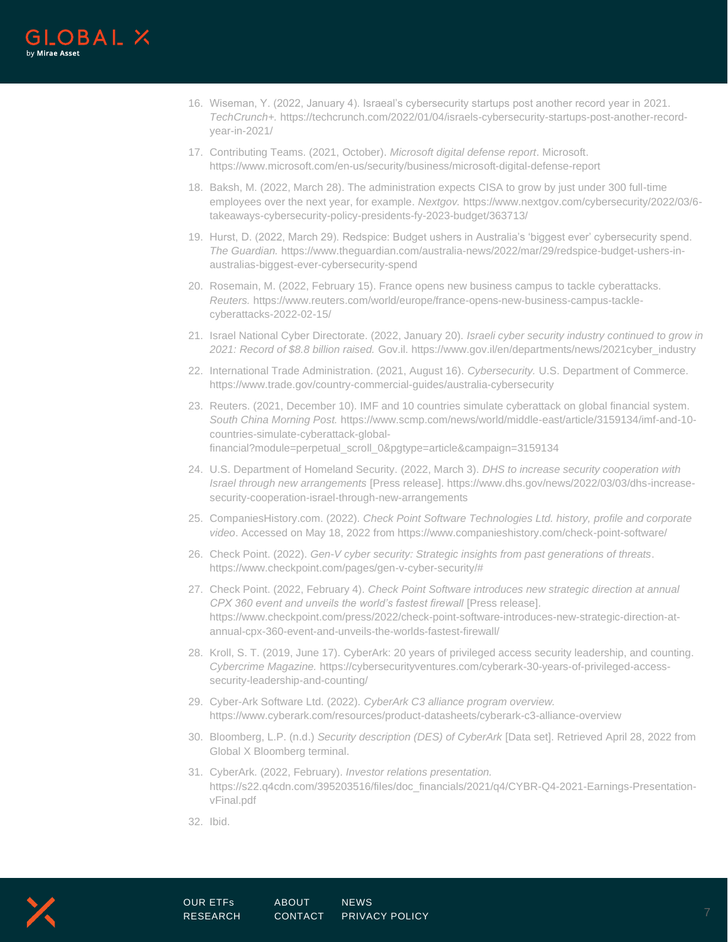

- 16. Wiseman, Y. (2022, January 4). Israeal's cybersecurity startups post another record year in 2021. *TechCrunch+.* https://techcrunch.com/2022/01/04/israels-cybersecurity-startups-post-another-recordyear-in-2021/
- 17. Contributing Teams. (2021, October). *Microsoft digital defense report*. Microsoft. https://www.microsoft.com/en-us/security/business/microsoft-digital-defense-report
- 18. Baksh, M. (2022, March 28). The administration expects CISA to grow by just under 300 full-time employees over the next year, for example. *Nextgov.* https://www.nextgov.com/cybersecurity/2022/03/6 takeaways-cybersecurity-policy-presidents-fy-2023-budget/363713/
- 19. Hurst, D. (2022, March 29). Redspice: Budget ushers in Australia's 'biggest ever' cybersecurity spend. *The Guardian.* https://www.theguardian.com/australia-news/2022/mar/29/redspice-budget-ushers-inaustralias-biggest-ever-cybersecurity-spend
- 20. Rosemain, M. (2022, February 15). France opens new business campus to tackle cyberattacks. *Reuters.* https://www.reuters.com/world/europe/france-opens-new-business-campus-tacklecyberattacks-2022-02-15/
- 21. Israel National Cyber Directorate. (2022, January 20). *Israeli cyber security industry continued to grow in 2021: Record of \$8.8 billion raised.* Gov.il. https://www.gov.il/en/departments/news/2021cyber\_industry
- 22. International Trade Administration. (2021, August 16). *Cybersecurity.* U.S. Department of Commerce. https://www.trade.gov/country-commercial-guides/australia-cybersecurity
- 23. Reuters. (2021, December 10). IMF and 10 countries simulate cyberattack on global financial system. *South China Morning Post.* https://www.scmp.com/news/world/middle-east/article/3159134/imf-and-10 countries-simulate-cyberattack-globalfinancial?module=perpetual\_scroll\_0&pgtype=article&campaign=3159134
- 24. U.S. Department of Homeland Security. (2022, March 3). *DHS to increase security cooperation with Israel through new arrangements* [Press release]. https://www.dhs.gov/news/2022/03/03/dhs-increasesecurity-cooperation-israel-through-new-arrangements
- 25. CompaniesHistory.com. (2022). *Check Point Software Technologies Ltd. history, profile and corporate video*. Accessed on May 18, 2022 from https://www.companieshistory.com/check-point-software/
- 26. Check Point. (2022). *Gen-V cyber security: Strategic insights from past generations of threats*. https://www.checkpoint.com/pages/gen-v-cyber-security/#
- 27. Check Point. (2022, February 4). *Check Point Software introduces new strategic direction at annual CPX 360 event and unveils the world's fastest firewall [Press release].* https://www.checkpoint.com/press/2022/check-point-software-introduces-new-strategic-direction-atannual-cpx-360-event-and-unveils-the-worlds-fastest-firewall/
- 28. Kroll, S. T. (2019, June 17). CyberArk: 20 years of privileged access security leadership, and counting. *Cybercrime Magazine.* https://cybersecurityventures.com/cyberark-30-years-of-privileged-accesssecurity-leadership-and-counting/
- 29. Cyber-Ark Software Ltd. (2022). *CyberArk C3 alliance program overview.*  https://www.cyberark.com/resources/product-datasheets/cyberark-c3-alliance-overview
- 30. Bloomberg, L.P. (n.d.) *Security description (DES) of CyberArk* [Data set]. Retrieved April 28, 2022 from Global X Bloomberg terminal.
- 31. CyberArk. (2022, February). *Investor relations presentation.*  https://s22.q4cdn.com/395203516/files/doc\_financials/2021/q4/CYBR-Q4-2021-Earnings-PresentationvFinal.pdf
- 32. Ibid.